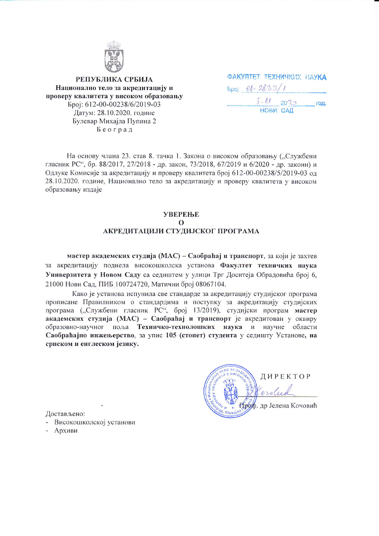

РЕПУБЛИКА СРБИЈА Национално тело за акредитацију и проверу квалитета у високом образовању Број: 612-00-00238/6/2019-03 Датум: 28.10.2020. године Булевар Михајла Пупина 2 Београд

|                      |          | <b><i><u> ФАКУЛТЕТ ТЕХНИЧКИХ НАУКА</u></i></b> |
|----------------------|----------|------------------------------------------------|
| $5poj$ $01 - 2835/1$ |          |                                                |
|                      | 5.112020 | год.                                           |
| НОВИ САД             |          |                                                |

На основу члана 23. став 8. тачка 1. Закона о високом образовању ("Службени гласник РС", бр. 88/2017, 27/2018 - др. закон, 73/2018, 67/2019 и 6/2020 - др. закони) и Одлуке Комисије за акредитацију и проверу квалитета број 612-00-00238/5/2019-03 од 28.10.2020. године, Национално тело за акредитацију и проверу квалитета у високом образовању издаје

## **YBEPEILE**  $\Omega$ АКРЕДИТАЦИЈИ СТУДИЈСКОГ ПРОГРАМА

мастер академских студија (МАС) – Саобраћај и транспорт, за који је захтев за акредитацију поднела високошколска установа Факултет техничких наука Универзитета у Новом Саду са седиштем у улици Трг Доситеја Обрадовића број 6, 21000 Нови Сад, ПИБ 100724720, Матични број 08067104.

Како је установа испунила све стандарде за акредитацију студијског програма прописане Правилником о стандардима и поступку за акредитацију студијских програма ("Службени гласник РС", број 13/2019), студијски програм мастер академских студија (МАС) - Саобраћај и транспорт је акредитован у оквиру образовно-научног поља Техничко-технолошких наука и научне области Саобраћајно инжењерство, за упис 105 (стопет) студента у седишту Установе, на српском и енглеском језику.

ДИРЕКТОР orde Проф. др Јелена Кочовић

Достављено:

- Високошколској установи
- Архиви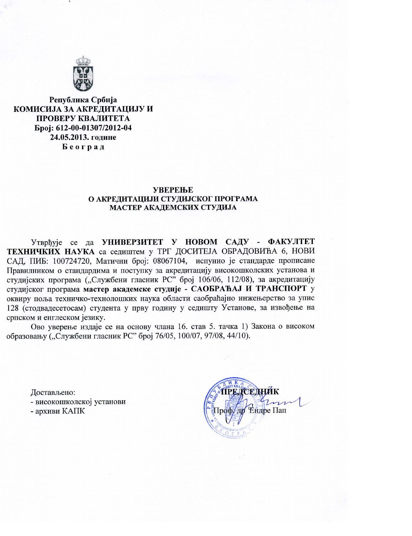

Република Србија КОМИСИЈА ЗА АКРЕЛИТАЦИЈУ И ПРОВЕРУ КВАЛИТЕТА Број: 612-00-01307/2012-04 24.05.2013. године Београд

#### **УВЕРЕЊЕ** О АКРЕДИТАЦИЈИ СТУДИЈСКОГ ПРОГРАМА МАСТЕР АКАДЕМСКИХ СТУДИЈА

Утврђује се да УНИВЕРЗИТЕТ У НОВОМ САДУ - ФАКУЛТЕТ ТЕХНИЧКИХ НАУКА са седиштем у ТРГ ДОСИТЕЈА ОБРАДОВИЋА 6, НОВИ САД, ПИБ: 100724720, Матични број: 08067104, испунио је стандарде прописане Правилником о стандардима и поступку за акредитацију високошколских установа и студијских програма ("Службени гласник РС" број 106/06, 112/08), за акредитацију студијског програма мастер академске студије - САОБРАЋАЈ И ТРАНСПОРТ у оквиру поља техничко-технолошких наука области саобраћајно инжењерство за упис 128 (стодвадесетосам) студента у прву годину у седишту Установе, за извођење на српском и енглеском језику.

Ово уверење издаје се на основу члана 16. став 5. тачка 1) Закона о високом образовању ("Службени гласник РС" број 76/05, 100/07, 97/08, 44/10).

Достављено: - високошколској установи - архиви КАПК

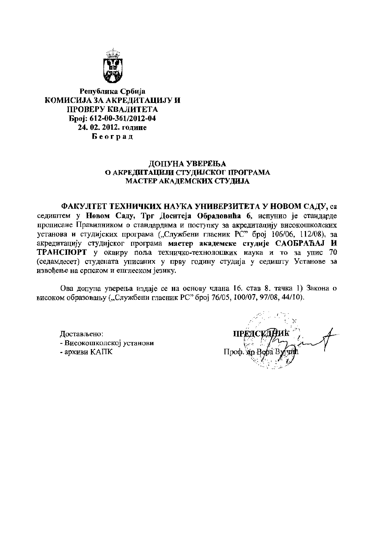

Република Србија КОМИСИЈА ЗА АКРЕЛИТАЦИЈУ И ПРОВЕРУ КВАЛИТЕТА Epoj: 612-00-361/2012-04 24.02.2012. године Београд

## ДОПУНА УВЕРЕЊА О АКРЕДИТАЦИЈИ СТУДИЈСКОГ ПРОГРАМА МАСТЕР АКАДЕМСКИХ СТУДИЈА

ФАКУЛТЕТ ТЕХНИЧКИХ НАУКА УНИВЕРЗИТЕТА У НОВОМ САДУ, са седиштем у Новом Саду, Трг Доситеја Обрадовића 6, испунио је стандарде прописане Правилником о стандардима и поступку за акредитацију високошколских установа и студијских програма ("Службени гласник РС" број 106/06, 112/08), за акредитацију студијског програма мастер академске студије САОБРАЋАЈ И ТРАНСПОРТ у оквиру поља техничко-технолошких наука и то за упис 70 (седамдесет) студената уписаних у прву годину студија у седишту Установе за извођење на српском и енглеском језику.

Ова допуна уверења издаје се на основу члана 16. став 8. тачка 1) Закона о високом образовању ("Службени гласник РС" број 76/05, 100/07, 97/08, 44/10).

Лостављено: - Високошколској установи - архиви КАПК

**TTPET**  $\Pi$ роф. Хи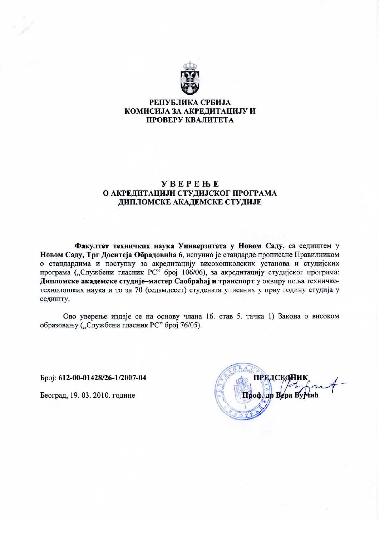

# РЕПУБЛИКА СРБИЈА КОМИСИЈА ЗА АКРЕЛИТАЦИЈУ И ПРОВЕРУ КВАЛИТЕТА

# **YBEPEHE** О АКРЕЛИТАЦИЈИ СТУЛИЈСКОГ ПРОГРАМА ДИПЛОМСКЕ АКАДЕМСКЕ СТУДИЈЕ

Факултет техничких наука Универзитета у Новом Саду, са седиштем у Новом Саду, Трг Доситеја Обрадовића 6, испунио је стандарде прописане Правилником о стандардима и поступку за акредитацију високошколских установа и студијских програма ("Службени гласник РС" број 106/06), за акредитацију студијског програма: Дипломске академске студије-мастер Саобраћај и транспорт у оквиру поља техничкотехнолошких наука и то за 70 (седамдесет) студената уписаних у прву годину студија у седишту.

Ово уверење издаје се на основу члана 16. став 5. тачка 1) Закона о високом образовању ("Службени гласник РС" број 76/05).

Epoj: 612-00-01428/26-1/2007-04

Београд, 19. 03. 2010. године

**ПРЕДСЕДАМИ** Проф. др Вера Вујчић